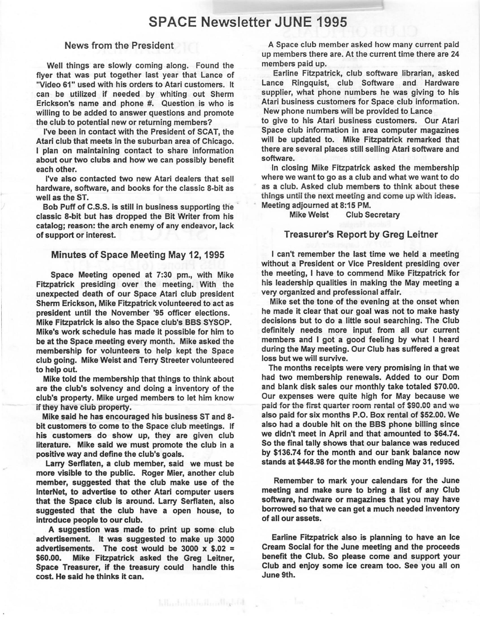### **SPACE Newsletter JUNE 1995**

#### News from the President

Well things are slowly coming along. Found the flyer that was put together last year that Lance of "Video 61" used with his orders to Atari customers. It can be utilized if needed by whiting out Sherm Erickson's name and phone #. Question is who is willing to be added to answer questions and promote the club to potential new or returning members?

I've been in contact with the President of SCAT, the Atari club that meets in the suburban area of Chicago. I plan on maintaining contact to share information about our two clubs and how we can possibly benefit each other.

I've also contacted two new Atari dealers that sell hardware, software, and books for the classic 8-bit as well as the ST.

Bob Puff of C.S.S. is still in business supporting the classic 8-bit but has dropped the Bit Writer from his catalog; reason: the arch enemy of any endeavor, lack of support or interest.

#### Minutes of Space Meeting May 12, 1995

Space Meeting opened at 7:30 pm., with Mike Fitzpatrick presiding over the meeting. With the unexpected death of our Space Atari club president Sherm Erickson, **Mike** Fitzpatrick volunteered to act as president until the November '95 officer elections.

**Mike** Fitzpatrick is also the Space club's BBS SYSOP. Mike's work schedule has made it possible for him to be at the Space meeting every month. Mike asked the membership for volunteers to help kept the Space club going. Mike Weist and Terry Streeter volunteered to help out.

**Mike** told the membership that things to think about are the club's solvency and doing a inventory of the club's property. **Mike** urged members to let him know if they have club property.

Mike said he has encouraged his business ST and 8 bit customers to come to the Space club meetings. If his customers do show up, they are given club literature. Mike said we must promote the club in a positive way and define the club's goals.

Larry Serflaten, a club member, said we must be more visible to the public. Roger Mier, another club member, suggested that the club make use of the lnterNet, to advertise to other Atari computer users that the Space club is around. Larry Serflaten, also suggested that the club have a open house, to introduce people to our club.

A suggestion was made to print up some club advertisement. It was suggested to make up 3000 advertisements. The cost would be 3000  $\times$  \$.02 = \$60.00. **Mike** Fitzpatrick asked the Greg Leitner, **Space Treasurer, if the treasury** could **handle** this **cost. He said he thinks it can.** 

hllashihdiballandhibidi

**A** Space club member asked how many current paid up members there are. At the current time there are 24 members paid up.

Earline Fitzpatrick, club software librarian, asked Lance Ringquist, club Software and Hardware supplier, what phone numbers he was giving to his Atari business customers for Space club information. New phone numbers will be provided to Lance

to give to his Atari business customers. Our Atari Space club information in area computer magazines will be updated to. Mike Fitzpatrick remarked that there are several places still selling Atari software and software.

In closing Mike Fitzpatrick asked the membership where we want to go as a club and what we want to do as a club. Asked club members to think about these things until the next meeting and come up with ideas. Meeting adjourned at 8:15 PM.

Mike Weist Club Secretary

#### Treasurer's Report by Greg Leitner

I can't remember the last time we held a meeting without a President or Vice President presiding over the meeting, I have to commend Mike Fitzpatrick for his leadership qualities in making the May meeting a very organized and professional affair.

Mike set the tone of the evening at the onset when he made it clear that our goal was not to make hasty decisions but to do a little soul searching. The Club definitely needs more input from all our current members and I got a good feeling by what I heard during the May meeting. Our Club has suffered a great loss but we will survive.

The months receipts were very promising in that we had two membership renewals. Added to our Dom and blank disk sales our monthly take totaled \$70.00. Our expenses were quite high for May because we paid for the first quarter room rental of \$90.00 and we also paid for six months P.O. Box rental of \$52.00. We also had a double hit on the BBS phone billing since we didn't meet in April and that amounted to \$64.74. So the final tally shows that our balance was reduced by \$136.74 for the month and our bank balance now stands at \$448.98 for the month ending May 31, 1995.

Remember to mark your calendars for the June meeting and make sure to bring a list of any Club software, hardware or magazines that you may have borrowed so that we can get a much needed inventory of all our assets.

Earline Fitzpatrick also is planning to have an Ice Cream Social for the June meeting and the proceeds benefit the Club. So please come and support your Club and enjoy some ice cream too. See you all on June 9th.